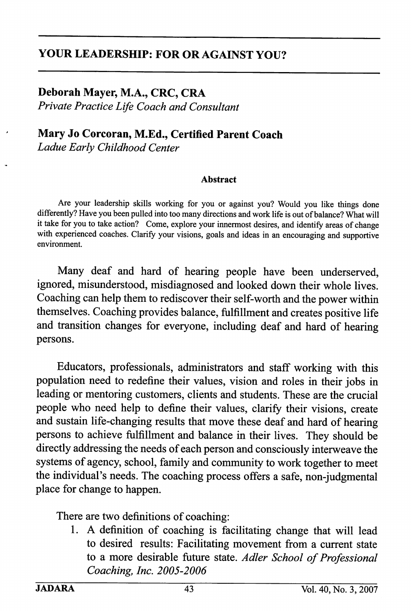## YOUR LEADERSHIP: FOR OR AGAINST YOU?

## Deborah Mayer, M.A., CRC, CRA

Private Practice Life Coach and Consultant

# Mary Jo Corcoran, M.Ed., Certified Parent Coach

Ladue Early Childhood Center

#### Abstract

Are your leadership skills working for you or against you? Would you like things done differently? Have you been pulled into too many directions and work life is out of balance? What will it take for you to take action? Come, explore your iimermost desires, and identify areas of change with experienced coaches. Clarify your visions, goals and ideas in an encouraging and supportive environment.

Many deaf and hard of hearing people have been underserved, ignored, misunderstood, misdiagnosed and looked down their whole lives. Coaching can help them to rediscover their self-worth and the power within themselves. Coaching provides balance, fulfillment and creates positive life and transition changes for everyone, including deaf and hard of hearing persons.

Educators, professionals, administrators and staff working with this population need to redefine their values, vision and roles in their jobs in leading or mentoring customers, clients and students. These are the crucial people who need help to define their values, clarify their visions, create and sustain life-changing results that move these deaf and hard of hearing persons to achieve fulfillment and balance in their lives. They should be directly addressing the needs of each person and consciously interweave the systems of agency, school, family and community to work together to meet the individual's needs. The coaching process offers a safe, non-judgmental place for change to happen.

There are two definitions of coaching:

1. A definition of coaching is facilitating change that will lead to desired results: Facilitating movement from a current state to a more desirable future state. Adler School of Professional Coaching, Inc. 2005-2006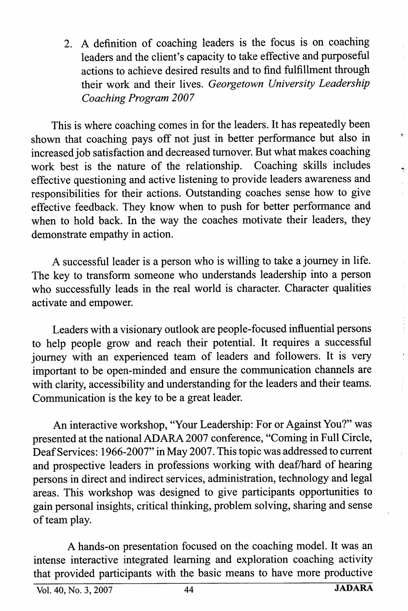2. A definition of coaching leaders is the focus is on coaching leaders and the client's capacity to take effective and purposeful actions to achieve desired results and to find fulfillment through their work and their lives. Georgetown University Leadership Coaching Program 2007

This is where coaching comes in for the leaders. It has repeatedly been shown that coaching pays off not just in better performance but also in increased job satisfaction and decreased turnover. But what makes coaching work best is the nature of the relationship. Coaching skills includes effective questioning and active listening to provide leaders awareness and responsibilities for their actions. Outstanding coaches sense how to give effective feedback. They know when to push for better performance and when to hold back. In the way the coaches motivate their leaders, they demonstrate empathy in action.

A successful leader is a person who is willing to take a journey in life. The key to transform someone who understands leadership into a person who successfully leads in the real world is character. Character qualities activate and empower.

Leaders with a visionary outlook are people-focused influential persons to help people grow and reach their potential. It requires a successful journey with an experienced team of leaders and followers. It is very important to be open-minded and ensure the communication charmels are with clarity, accessibility and understanding for the leaders and their teams. Communication is the key to be a great leader.

An interactive workshop, "Your Leadership: For or Against You?" was presented at the national ADARA 2007 conference, "Coming in Full Circle, Deaf Services: 1966-2007" in May 2007. This topic was addressed to current and prospective leaders in professions working with deaf/hard of hearing persons in direct and indirect services, administration, technology and legal areas. This workshop was designed to give participants opportunities to gain personal insights, critical thinking, problem solving, sharing and sense of team play.

A hands-on presentation focused on the coaching model. It was an intense interactive integrated learning and exploration coaching activity that provided participants with the basic means to have more productive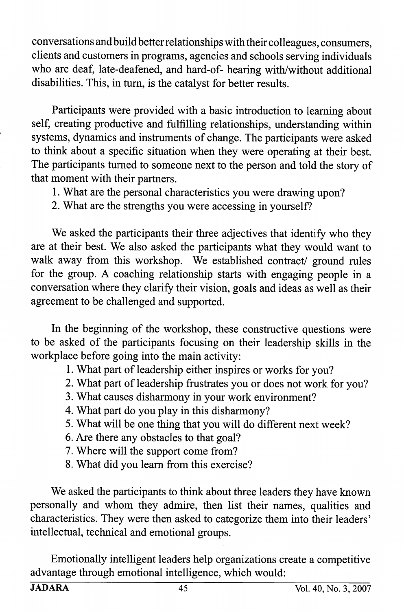conversations and build better relationships with their colleagues, consumers, clients and customers in programs, agencies and schools serving individuals who are deaf, late-deafened, and hard-of- hearing with/without additional disabilities. This, in turn, is the catalyst for better results.

Participants were provided with a basic introduction to learning about self, creating productive and fulfilling relationships, understanding within systems, dynamics and instruments of change. The participants were asked to think about a specific situation when they were operating at their best. The participants tumed to someone next to the person and told the story of that moment with their partners.

1. What are the personal characteristics you were drawing upon?

2. What are the strengths you were accessing in yourself?

We asked the participants their three adjectives that identify who they are at their best. We also asked the participants what they would want to walk away from this workshop. We established contract/ ground rules for the group. A coaching relationship starts with engaging people in a conversation where they clarify their vision, goals and ideas as well as their agreement to be challenged and supported.

In the beginning of the workshop, these constructive questions were to be asked of the participants focusing on their leadership skills in the workplace before going into the main activity:

1. What part of leadership either inspires or works for you?

- 2. What part of leadership frustrates you or does not work for you?
- 3. What causes disharmony in your work environment?
- 4. What part do you play in this disharmony?
- 5. What will be one thing that you will do different next week?
- 6. Are there any obstacles to that goal?
- 7. Where will the support come from?
- 8. What did you learn from this exercise?

We asked the participants to think about three leaders they have known personally and whom they admire, then list their names, qualities and characteristics. They were then asked to categorize them into their leaders' intellectual, technical and emotional groups.

Emotionally intelligent leaders help organizations create a competitive advantage through emotional intelligence, which would: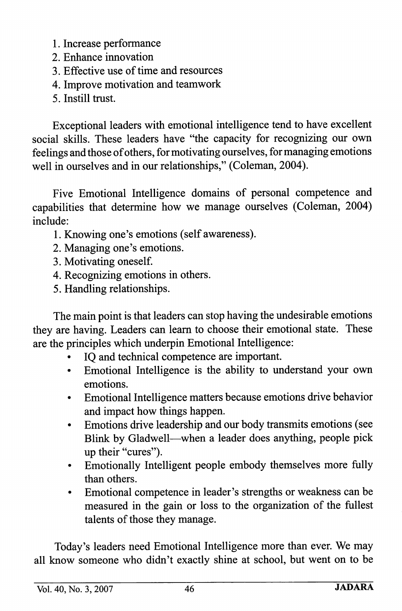1. Increase performance

- 2. Enhance irmovation
- 3. Effective use of time and resources
- 4. Improve motivation and teamwork
- 5. Instill trust.

Exceptional leaders with emotional intelligence tend to have excellent social skills. These leaders have "the capacity for recognizing our own feelings and those of others, for motivating ourselves, for managing emotions well in ourselves and in our relationships," (Coleman, 2004).

Five Emotional Intelligence domains of personal competence and capabilities that determine how we manage ourselves (Coleman, 2004) include:

- 1. Knowing one's emotions (self awareness).
- 2. Managing one's emotions.
- 3. Motivating oneself.
- 4. Recognizing emotions in others.
- 5. Handling relationships.

The main point is that leaders can stop having the undesirable emotions they are having. Leaders can leam to choose their emotional state. These are the principles which underpin Emotional Intelligence:

- IO and technical competence are important.
- Emotional Intelligence is the ability to understand your own emotions.
- Emotional Intelligence matters because emotions drive behavior and impact how things happen.
- Emotions drive leadership and our body transmits emotions (see Blink by Gladwell—when a leader does anything, people pick up their "cures").
- Emotionally Intelligent people embody themselves more fully than others.
- Emotional competence in leader's strengths or weakness can be measured in the gain or loss to the organization of the fullest talents of those they manage.

Today's leaders need Emotional Intelligence more than ever. We may all know someone who didn't exactly shine at school, but went on to be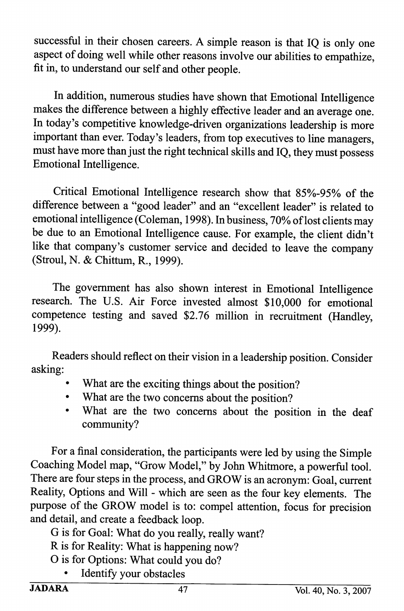successful in their chosen careers. A simple reason is that IQ is only one aspect of doing well while other reasons involve our abilities to empathize, fit in, to understand our self and other people.

In addition, numerous studies have shown that Emotional Intelligence makes the difference between a highly effective leader and an average one. In today's competitive knowledge-driven organizations leadership is more important than ever. Today's leaders, from top executives to line managers, must have more than just the right technical skills and IQ, they must possess Emotional Intelligence.

Critical Emotional Intelligence research show that 85%-95% of the difference between a "good leader" and an "excellent leader" is related to emotional intelligence (Coleman, 1998). In business, 70% of lost clients may be due to an Emotional Intelligence cause. For example, the client didn't like that company's customer service and decided to leave the company (Stroul, N. & Chittum, R., 1999).

The government has also shown interest in Emotional Intelligence research. The U.S. Air Force invested almost \$10,000 for emotional competence testing and saved \$2.76 million in recruitment (Handley, 1999).

Readers should reflect on their vision in a leadership position. Consider asking:

- What are the exciting things about the position?
- What are the two concerns about the position?
- What are the two concerns about the position in the deaf community?

For a final consideration, the participants were led by using the Simple Coaching Model map, "Grow Model," by John Whitmore, a powerful tool. There are four steps in the process, and GROW is an acronym: Goal, current Reality, Options and Will - which are seen as the four key elements. The piupose of the GROW model is to: compel attention, focus for precision and detail, and create a feedback loop.

- G is for Goal: What do you really, really want?
- R is for Reality: What is happening now?
- O is for Options: What could you do?
	- Identify your obstacles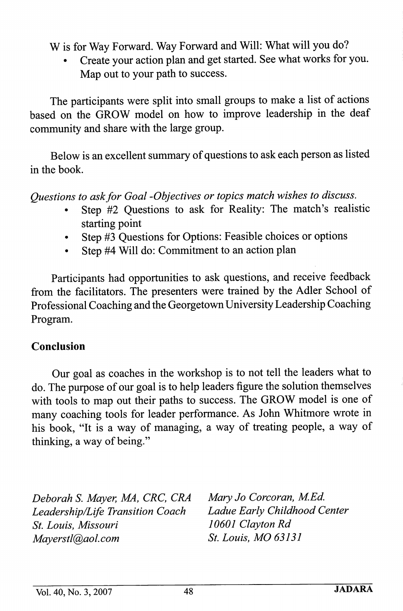W is for Way Forward. Way Forward and Will: What will you do?

• Create your action plan and get started. See what works for you. Map out to your path to success.

The participants were split into small groups to make a list of actions based on the GROW model on how to improve leadership in the deaf community and share with the large group.

Below is an excellent summary of questions to ask each person as listed in the book.

Questions to ask for Goal -Objectives or topics match wishes to discuss.

- Step #2 Ouestions to ask for Reality: The match's realistic starting point
- Step #3 Questions for Options: Feasible choices or options
- Step #4 Will do: Commitment to an action plan

Participants had opportunities to ask questions, and receive feedback from the facilitators. The presenters were trained by the Adler School of Professional Coaching and the Georgetown University Leadership Coaching Program.

## Conclusion

Our goal as coaches in the workshop is to not tell the leaders what to do. The purpose of our goal is to help leaders figure the solution themselves with tools to map out their paths to success. The GROW model is one of many coaching tools for leader performance. As John Whitmore wrote in his book, "It is a way of managing, a way of treating people, a way of thinking, a way of being."

Deborah S. Mayer, MA, CRC, CRA Mary Jo Corcoran, M.Ed. Leadership/Life Transition Coach Ladue Early Child<br>St. Louis. Missouri 10601 Clayton Rd St. Louis, Missouri Mayerstl@aol.com St. Louis, MO 63131